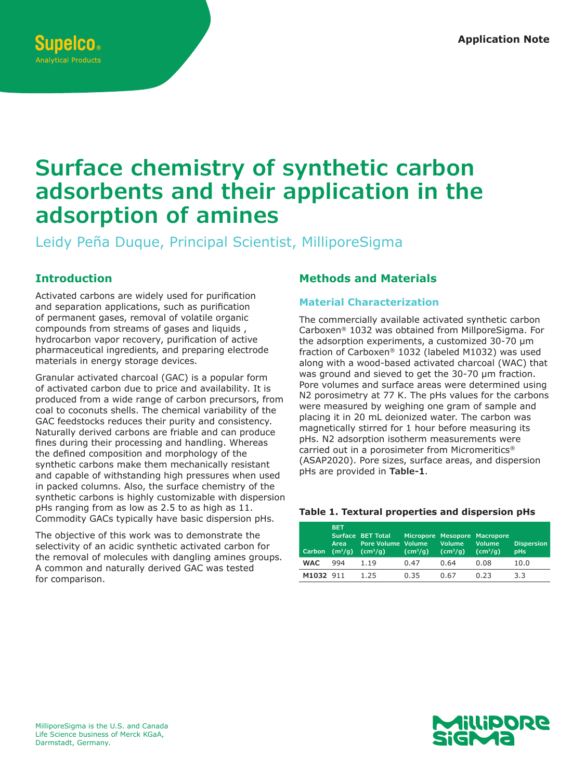# **Surface chemistry of synthetic carbon adsorbents and their application in the adsorption of amines**

Leidy Peña Duque, Principal Scientist, MilliporeSigma

# **Introduction**

Activated carbons are widely used for purification and separation applications, such as purification of permanent gases, removal of volatile organic compounds from streams of gases and liquids , hydrocarbon vapor recovery, purification of active pharmaceutical ingredients, and preparing electrode materials in energy storage devices.

Granular activated charcoal (GAC) is a popular form of activated carbon due to price and availability. It is produced from a wide range of carbon precursors, from coal to coconuts shells. The chemical variability of the GAC feedstocks reduces their purity and consistency. Naturally derived carbons are friable and can produce fines during their processing and handling. Whereas the defined composition and morphology of the synthetic carbons make them mechanically resistant and capable of withstanding high pressures when used in packed columns. Also, the surface chemistry of the synthetic carbons is highly customizable with dispersion pHs ranging from as low as 2.5 to as high as 11. Commodity GACs typically have basic dispersion pHs.

The objective of this work was to demonstrate the selectivity of an acidic synthetic activated carbon for the removal of molecules with dangling amines groups. A common and naturally derived GAC was tested for comparison.

# **Methods and Materials**

#### **Material Characterization**

The commercially available activated synthetic carbon Carboxen® 1032 was obtained from MillporeSigma. For the adsorption experiments, a customized 30-70 µm fraction of Carboxen® 1032 (labeled M1032) was used along with a wood-based activated charcoal (WAC) that was ground and sieved to get the 30-70 µm fraction. Pore volumes and surface areas were determined using N2 porosimetry at 77 K. The pHs values for the carbons were measured by weighing one gram of sample and placing it in 20 mL deionized water. The carbon was magnetically stirred for 1 hour before measuring its pHs. N2 adsorption isotherm measurements were carried out in a porosimeter from Micromeritics® (ASAP2020). Pore sizes, surface areas, and dispersion pHs are provided in **Table-1**.

#### **Table 1. Textural properties and dispersion pHs**

| Carbon     | <b>BET</b><br>Area<br>(m <sup>2</sup> /q) | Surface BET Total<br>Pore Volume Volume<br>(cm <sup>3</sup> /q) | (cm <sup>3</sup> /q) | Volume<br>(cm <sup>3</sup> /q) | Micropore Mesopore Macropore<br><b>Volume</b><br>(cm <sup>3</sup> /q) | <b>Dispersion</b><br>pHs |
|------------|-------------------------------------------|-----------------------------------------------------------------|----------------------|--------------------------------|-----------------------------------------------------------------------|--------------------------|
| <b>WAC</b> | 994                                       | 1.19                                                            | 0.47                 | 0.64                           | 0.08                                                                  | 10.0                     |
| M1032 911  |                                           | 1.25                                                            | 0.35                 | 0.67                           | 0.23                                                                  | 3.3                      |

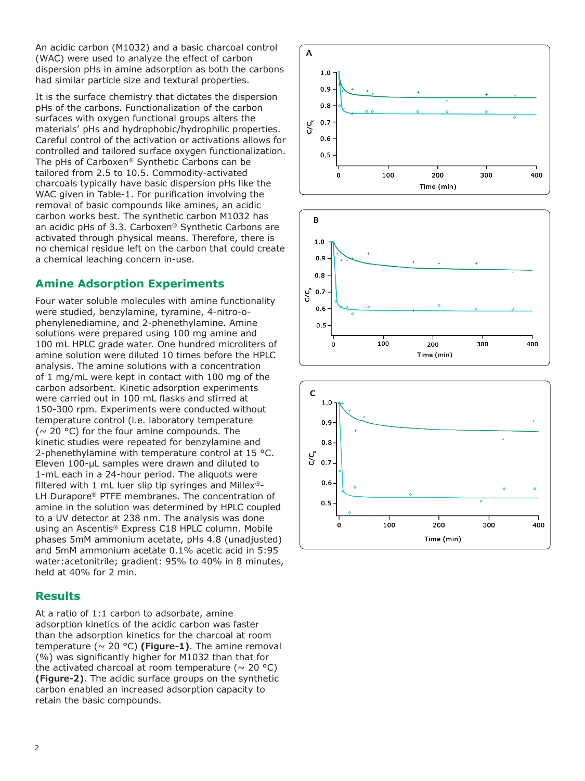An acidic carbon (M1032) and a basic charcoal control (WAC) were used to analyze the effect of carbon dispersion pHs in amine adsorption as both the carbons had similar particle size and textural properties.

It is the surface chemistry that dictates the dispersion pHs of the carbons. Functionalization of the carbon surfaces with oxygen functional groups alters the materials' pHs and hydrophobic/hydrophilic properties. Careful control of the activation or activations allows for controlled and tailored surface oxygen functionalization. The pHs of Carboxen® Synthetic Carbons can be tailored from 2.5 to 10.5. Commodity-activated charcoals typically have basic dispersion pHs like the WAC given in Table-1. For purification involving the removal of basic compounds like amines, an acidic carbon works best. The synthetic carbon M1032 has an acidic pHs of 3.3. Carboxen® Synthetic Carbons are activated through physical means. Therefore, there is no chemical residue left on the carbon that could create a chemical leaching concern in-use.

# **Amine Adsorption Experiments**

Four water soluble molecules with amine functionality were studied, benzylamine, tyramine, 4-nitro-ophenylenediamine, and 2-phenethylamine. Amine solutions were prepared using 100 mg amine and 100 mL HPLC grade water. One hundred microliters of amine solution were diluted 10 times before the HPLC analysis. The amine solutions with a concentration of 1 mg/mL were kept in contact with 100 mg of the carbon adsorbent. Kinetic adsorption experiments were carried out in 100 mL flasks and stirred at 150-300 rpm. Experiments were conducted without temperature control (i.e. laboratory temperature ( $\sim$  20 °C) for the four amine compounds. The kinetic studies were repeated for benzylamine and 2-phenethylamine with temperature control at 15 °C. Eleven 100-μL samples were drawn and diluted to 1-mL each in a 24-hour period. The aliquots were filtered with 1 mL luer slip tip syringes and Millex<sup>®</sup>-LH Durapore® PTFE membranes. The concentration of amine in the solution was determined by HPLC coupled to a UV detector at 238 nm. The analysis was done using an Ascentis® Express C18 HPLC column. Mobile phases 5mM ammonium acetate, pHs 4.8 (unadjusted) and 5mM ammonium acetate 0.1% acetic acid in 5:95 water:acetonitrile; gradient: 95% to 40% in 8 minutes, held at 40% for 2 min.

### **Results**

At a ratio of 1:1 carbon to adsorbate, amine adsorption kinetics of the acidic carbon was faster than the adsorption kinetics for the charcoal at room temperature  $( \sim 20 \text{ °C})$  (Figure-1). The amine removal (%) was significantly higher for M1032 than that for the activated charcoal at room temperature ( $\sim$  20 °C) **(Figure-2)**. The acidic surface groups on the synthetic carbon enabled an increased adsorption capacity to retain the basic compounds.





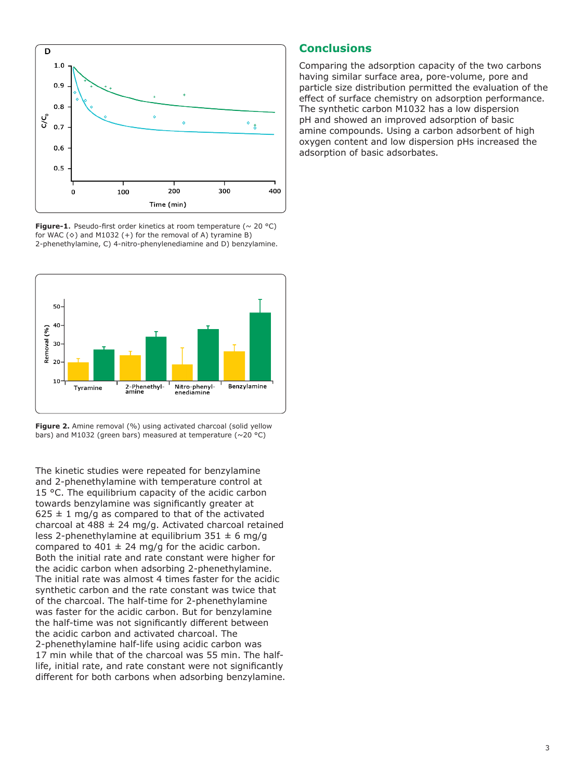

**Figure-1.** Pseudo-first order kinetics at room temperature ( $\sim$  20 °C) for WAC  $( \diamond )$  and M1032  $( + )$  for the removal of A) tyramine B) 2-phenethylamine, C) 4-nitro-phenylenediamine and D) benzylamine.



Figure 2. Amine removal (%) using activated charcoal (solid yellow bars) and M1032 (green bars) measured at temperature ( $\sim$ 20 °C)

The kinetic studies were repeated for benzylamine and 2-phenethylamine with temperature control at 15 °C. The equilibrium capacity of the acidic carbon towards benzylamine was significantly greater at  $625 \pm 1$  mg/g as compared to that of the activated charcoal at 488  $\pm$  24 mg/g. Activated charcoal retained less 2-phenethylamine at equilibrium  $351 \pm 6$  mg/g compared to 401  $\pm$  24 mg/g for the acidic carbon. Both the initial rate and rate constant were higher for the acidic carbon when adsorbing 2-phenethylamine. The initial rate was almost 4 times faster for the acidic synthetic carbon and the rate constant was twice that of the charcoal. The half-time for 2-phenethylamine was faster for the acidic carbon. But for benzylamine the half-time was not significantly different between the acidic carbon and activated charcoal. The 2-phenethylamine half-life using acidic carbon was 17 min while that of the charcoal was 55 min. The halflife, initial rate, and rate constant were not significantly different for both carbons when adsorbing benzylamine.

#### **Conclusions**

Comparing the adsorption capacity of the two carbons having similar surface area, pore-volume, pore and particle size distribution permitted the evaluation of the effect of surface chemistry on adsorption performance. The synthetic carbon M1032 has a low dispersion pH and showed an improved adsorption of basic amine compounds. Using a carbon adsorbent of high oxygen content and low dispersion pHs increased the adsorption of basic adsorbates.